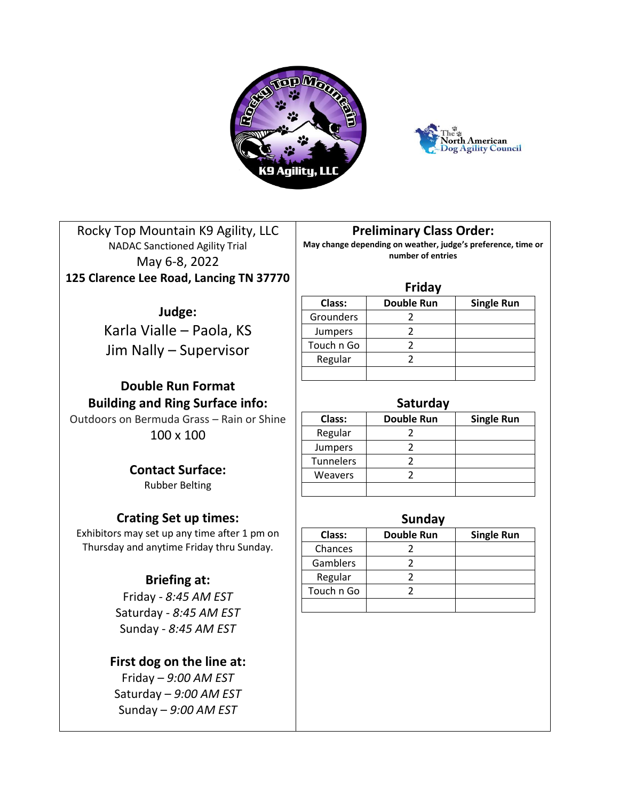



Rocky Top Mountain K9 Agility, LLC NADAC Sanctioned Agility Trial May 6-8, 2022 **125 Clarence Lee Road, Lancing TN 37770**

# **Judge:**

Karla Vialle – Paola, KS Jim Nally – Supervisor

# **Double Run Format Building and Ring Surface info:**

Outdoors on Bermuda Grass – Rain or Shine 100 x 100

> **Contact Surface:** Rubber Belting

# **Crating Set up times:**

Exhibitors may set up any time after 1 pm on Thursday and anytime Friday thru Sunday.

# **Briefing at:**

Friday - *8:45 AM EST* Saturday - *8:45 AM EST* Sunday - *8:45 AM EST*

# **First dog on the line at:**

Friday – *9:00 AM EST* Saturday – *9:00 AM EST* Sunday – *9:00 AM EST*

# **Preliminary Class Order:**

**May change depending on weather, judge's preference, time or number of entries**

## **Friday**

| .              |                   |                   |  |  |
|----------------|-------------------|-------------------|--|--|
| Class:         | <b>Double Run</b> | <b>Single Run</b> |  |  |
| Grounders      |                   |                   |  |  |
| <b>Jumpers</b> |                   |                   |  |  |
| Touch n Go     |                   |                   |  |  |
| Regular        |                   |                   |  |  |
|                |                   |                   |  |  |

## **Saturday**

| Class:         | <b>Double Run</b> | <b>Single Run</b> |
|----------------|-------------------|-------------------|
| Regular        |                   |                   |
| Jumpers        |                   |                   |
| Tunnelers      |                   |                   |
| <b>Weavers</b> |                   |                   |
|                |                   |                   |

## **Sunday**

| Class:     | <b>Double Run</b> | <b>Single Run</b> |
|------------|-------------------|-------------------|
| Chances    |                   |                   |
| Gamblers   |                   |                   |
| Regular    |                   |                   |
| Touch n Go |                   |                   |
|            |                   |                   |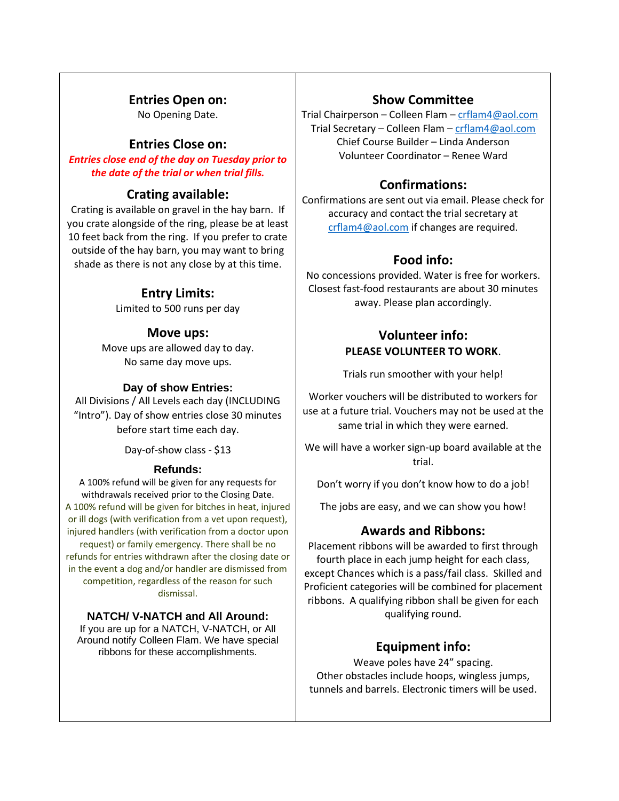# **Entries Open on:**

No Opening Date.

# **Entries Close on:**

*Entries close end of the day on Tuesday prior to the date of the trial or when trial fills.*

# **Crating available:**

Crating is available on gravel in the hay barn. If you crate alongside of the ring, please be at least 10 feet back from the ring. If you prefer to crate outside of the hay barn, you may want to bring shade as there is not any close by at this time.

# **Entry Limits:**

Limited to 500 runs per day

# **Move ups:**

Move ups are allowed day to day. No same day move ups.

## **Day of show Entries:**

All Divisions / All Levels each day (INCLUDING "Intro"). Day of show entries close 30 minutes before start time each day.

Day-of-show class - \$13

### **Refunds:**

A 100% refund will be given for any requests for withdrawals received prior to the Closing Date. A 100% refund will be given for bitches in heat, injured or ill dogs (with verification from a vet upon request), injured handlers (with verification from a doctor upon request) or family emergency. There shall be no refunds for entries withdrawn after the closing date or in the event a dog and/or handler are dismissed from competition, regardless of the reason for such dismissal.

## **NATCH/ V-NATCH and All Around:**

If you are up for a NATCH, V-NATCH, or All Around notify Colleen Flam. We have special ribbons for these accomplishments.

# **Show Committee**

Trial Chairperson – Colleen Flam – [crflam4@aol.com](mailto:crflam4@aol.com) Trial Secretary – Colleen Flam – [crflam4@aol.com](mailto:crflam4@aol.com) Chief Course Builder – Linda Anderson Volunteer Coordinator – Renee Ward

# **Confirmations:**

Confirmations are sent out via email. Please check for accuracy and contact the trial secretary at [crflam4@aol.com](mailto:crflam4@aol.com) if changes are required.

# **Food info:**

No concessions provided. Water is free for workers. Closest fast-food restaurants are about 30 minutes away. Please plan accordingly.

# **Volunteer info: PLEASE VOLUNTEER TO WORK**.

Trials run smoother with your help!

Worker vouchers will be distributed to workers for use at a future trial. Vouchers may not be used at the same trial in which they were earned.

We will have a worker sign-up board available at the trial.

Don't worry if you don't know how to do a job!

The jobs are easy, and we can show you how!

## **Awards and Ribbons:**

Placement ribbons will be awarded to first through fourth place in each jump height for each class, except Chances which is a pass/fail class. Skilled and Proficient categories will be combined for placement ribbons. A qualifying ribbon shall be given for each qualifying round.

# **Equipment info:**

Weave poles have 24" spacing. Other obstacles include hoops, wingless jumps, tunnels and barrels. Electronic timers will be used.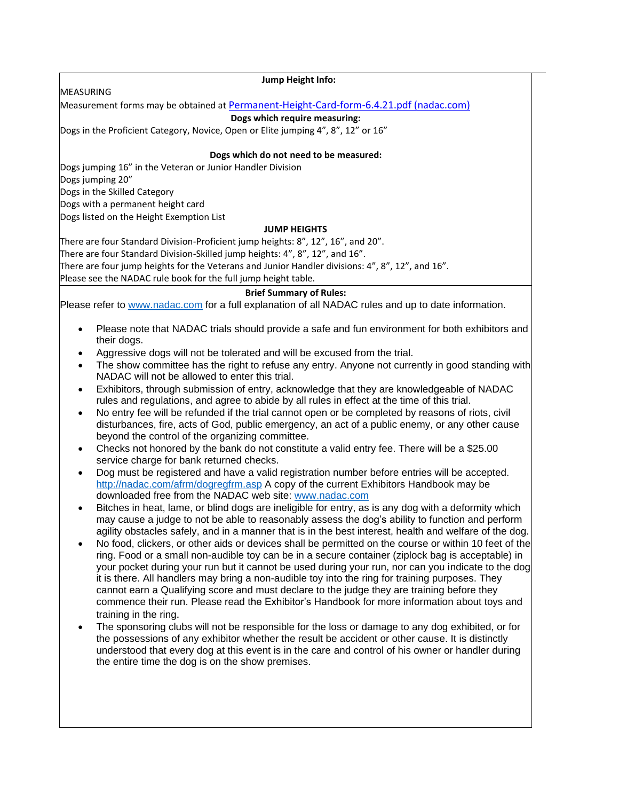MEASURING

#### **Jump Height Info:**

Measurement forms may be obtained at [Permanent-Height-Card-form-6.4.21.pdf \(nadac.com\)](https://www.nadac.com/WPsite/wp-content/uploads/2021/06/Permanent-Height-Card-form-6.4.21.pdf)

#### **Dogs which require measuring:**

Dogs in the Proficient Category, Novice, Open or Elite jumping 4", 8", 12" or 16"

#### **Dogs which do not need to be measured:**

Dogs jumping 16" in the Veteran or Junior Handler Division

Dogs jumping 20"

Dogs in the Skilled Category Dogs with a permanent height card

Dogs listed on the Height Exemption List

#### **JUMP HEIGHTS**

There are four Standard Division-Proficient jump heights: 8", 12", 16", and 20". There are four Standard Division-Skilled jump heights: 4", 8", 12", and 16". There are four jump heights for the Veterans and Junior Handler divisions: 4", 8", 12", and 16". Please see the NADAC rule book for the full jump height table.

#### **Brief Summary of Rules:**

Please refer to [www.nadac.com](http://www.nadac.com/) for a full explanation of all NADAC rules and up to date information.

- Please note that NADAC trials should provide a safe and fun environment for both exhibitors and their dogs.
- Aggressive dogs will not be tolerated and will be excused from the trial.
- The show committee has the right to refuse any entry. Anyone not currently in good standing with NADAC will not be allowed to enter this trial.
- Exhibitors, through submission of entry, acknowledge that they are knowledgeable of NADAC rules and regulations, and agree to abide by all rules in effect at the time of this trial.
- No entry fee will be refunded if the trial cannot open or be completed by reasons of riots, civil disturbances, fire, acts of God, public emergency, an act of a public enemy, or any other cause beyond the control of the organizing committee.
- Checks not honored by the bank do not constitute a valid entry fee. There will be a \$25.00 service charge for bank returned checks.
- Dog must be registered and have a valid registration number before entries will be accepted. <http://nadac.com/afrm/dogregfrm.asp> A copy of the current Exhibitors Handbook may be downloaded free from the NADAC web site: [www.nadac.com](http://www.nadac.com/)
- Bitches in heat, lame, or blind dogs are ineligible for entry, as is any dog with a deformity which may cause a judge to not be able to reasonably assess the dog's ability to function and perform agility obstacles safely, and in a manner that is in the best interest, health and welfare of the dog.
- No food, clickers, or other aids or devices shall be permitted on the course or within 10 feet of the ring. Food or a small non-audible toy can be in a secure container (ziplock bag is acceptable) in your pocket during your run but it cannot be used during your run, nor can you indicate to the dog it is there. All handlers may bring a non-audible toy into the ring for training purposes. They cannot earn a Qualifying score and must declare to the judge they are training before they commence their run. Please read the Exhibitor's Handbook for more information about toys and training in the ring.
- The sponsoring clubs will not be responsible for the loss or damage to any dog exhibited, or for the possessions of any exhibitor whether the result be accident or other cause. It is distinctly understood that every dog at this event is in the care and control of his owner or handler during the entire time the dog is on the show premises.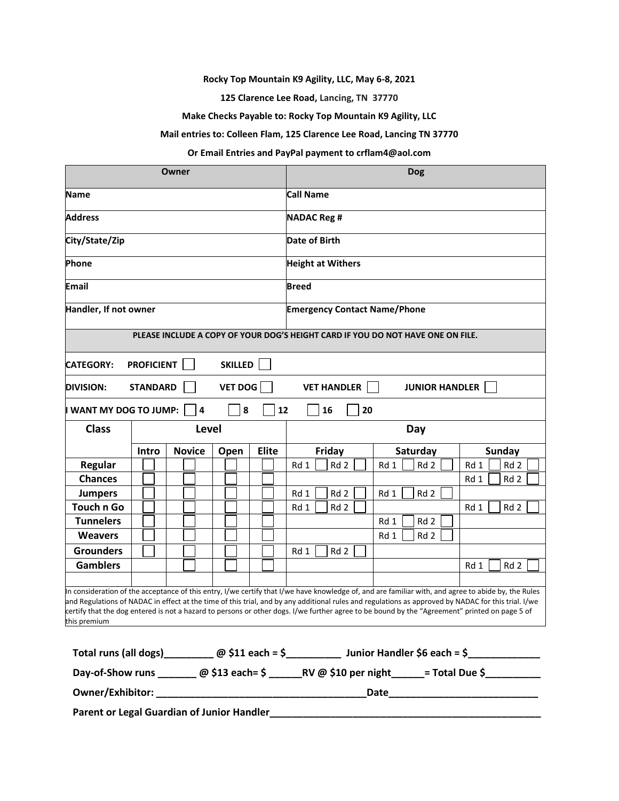**Rocky Top Mountain K9 Agility, LLC, May 6-8, 2021**

**125 Clarence Lee Road, Lancing, TN 37770**

**Make Checks Payable to: Rocky Top Mountain K9 Agility, LLC**

**Mail entries to: Colleen Flam, 125 Clarence Lee Road, Lancing TN 37770**

#### **Or Email Entries and PayPal payment to crflam4@aol.com**

|                                                                                                                                                                                                                                                                                                                                                                                                                                                                             |       | Owner         |                      |                                     |                         | <b>Dog</b>              |                         |
|-----------------------------------------------------------------------------------------------------------------------------------------------------------------------------------------------------------------------------------------------------------------------------------------------------------------------------------------------------------------------------------------------------------------------------------------------------------------------------|-------|---------------|----------------------|-------------------------------------|-------------------------|-------------------------|-------------------------|
| <b>Name</b>                                                                                                                                                                                                                                                                                                                                                                                                                                                                 |       |               | <b>Call Name</b>     |                                     |                         |                         |                         |
| <b>Address</b>                                                                                                                                                                                                                                                                                                                                                                                                                                                              |       |               | <b>NADAC Reg #</b>   |                                     |                         |                         |                         |
| City/State/Zip                                                                                                                                                                                                                                                                                                                                                                                                                                                              |       |               | <b>Date of Birth</b> |                                     |                         |                         |                         |
| Phone<br><b>Height at Withers</b>                                                                                                                                                                                                                                                                                                                                                                                                                                           |       |               |                      |                                     |                         |                         |                         |
| <b>Email</b>                                                                                                                                                                                                                                                                                                                                                                                                                                                                |       |               | <b>Breed</b>         |                                     |                         |                         |                         |
| Handler, If not owner                                                                                                                                                                                                                                                                                                                                                                                                                                                       |       |               |                      | <b>Emergency Contact Name/Phone</b> |                         |                         |                         |
| PLEASE INCLUDE A COPY OF YOUR DOG'S HEIGHT CARD IF YOU DO NOT HAVE ONE ON FILE.                                                                                                                                                                                                                                                                                                                                                                                             |       |               |                      |                                     |                         |                         |                         |
| <b>PROFICIENT</b><br><b>SKILLED</b><br><b>CATEGORY:</b>                                                                                                                                                                                                                                                                                                                                                                                                                     |       |               |                      |                                     |                         |                         |                         |
| <b>VET DOG</b><br><b>STANDARD</b><br><b>VET HANDLER</b><br><b>JUNIOR HANDLER</b><br><b>DIVISION:</b>                                                                                                                                                                                                                                                                                                                                                                        |       |               |                      |                                     |                         |                         |                         |
| 8<br>20<br>WANT MY DOG TO JUMP:<br>$\overline{4}$<br>12<br>16                                                                                                                                                                                                                                                                                                                                                                                                               |       |               |                      |                                     |                         |                         |                         |
| <b>Class</b>                                                                                                                                                                                                                                                                                                                                                                                                                                                                |       | Level<br>Day  |                      |                                     |                         |                         |                         |
|                                                                                                                                                                                                                                                                                                                                                                                                                                                                             | Intro | <b>Novice</b> | Open                 | <b>Elite</b>                        | Friday                  | Saturday                | <b>Sunday</b>           |
| <b>Regular</b>                                                                                                                                                                                                                                                                                                                                                                                                                                                              |       |               |                      |                                     | Rd 1<br>Rd <sub>2</sub> | Rd <sub>2</sub><br>Rd 1 | Rd 1<br>Rd <sub>2</sub> |
| <b>Chances</b>                                                                                                                                                                                                                                                                                                                                                                                                                                                              |       |               |                      |                                     |                         |                         | Rd 2<br>Rd 1            |
| <b>Jumpers</b>                                                                                                                                                                                                                                                                                                                                                                                                                                                              |       |               |                      |                                     | Rd 1<br>Rd 2            | Rd 2<br>Rd 1            |                         |
| <b>Touch n Go</b>                                                                                                                                                                                                                                                                                                                                                                                                                                                           |       |               |                      |                                     | Rd 1<br>Rd 2            |                         | Rd 2<br>Rd 1            |
| <b>Tunnelers</b>                                                                                                                                                                                                                                                                                                                                                                                                                                                            |       |               |                      |                                     |                         | Rd 1<br>Rd <sub>2</sub> |                         |
| <b>Weavers</b>                                                                                                                                                                                                                                                                                                                                                                                                                                                              |       |               |                      |                                     |                         | Rd 1<br>Rd 2            |                         |
| <b>Grounders</b>                                                                                                                                                                                                                                                                                                                                                                                                                                                            |       |               |                      |                                     | Rd 1<br>Rd 2            |                         |                         |
| <b>Gamblers</b>                                                                                                                                                                                                                                                                                                                                                                                                                                                             |       |               |                      |                                     |                         |                         | Rd 1<br>Rd 2            |
| In consideration of the acceptance of this entry, I/we certify that I/we have knowledge of, and are familiar with, and agree to abide by, the Rules<br>and Regulations of NADAC in effect at the time of this trial, and by any additional rules and regulations as approved by NADAC for this trial. I/we<br>certify that the dog entered is not a hazard to persons or other dogs. I/we further agree to be bound by the "Agreement" printed on page 5 of<br>this premium |       |               |                      |                                     |                         |                         |                         |
| Total runs (all dogs) ___________ @ \$11 each = \$________________ Junior Handler \$6 each = \$______________                                                                                                                                                                                                                                                                                                                                                               |       |               |                      |                                     |                         |                         |                         |
| Day-of-Show runs ________ @ \$13 each= \$ ________ RV @ \$10 per night ______= Total Due \$___________                                                                                                                                                                                                                                                                                                                                                                      |       |               |                      |                                     |                         |                         |                         |
|                                                                                                                                                                                                                                                                                                                                                                                                                                                                             |       |               |                      |                                     |                         |                         |                         |

**Parent or Legal Guardian of Junior Handler\_\_\_\_\_\_\_\_\_\_\_\_\_\_\_\_\_\_\_\_\_\_\_\_\_\_\_\_\_\_\_\_\_\_\_\_\_\_\_\_\_\_\_\_\_\_\_\_\_**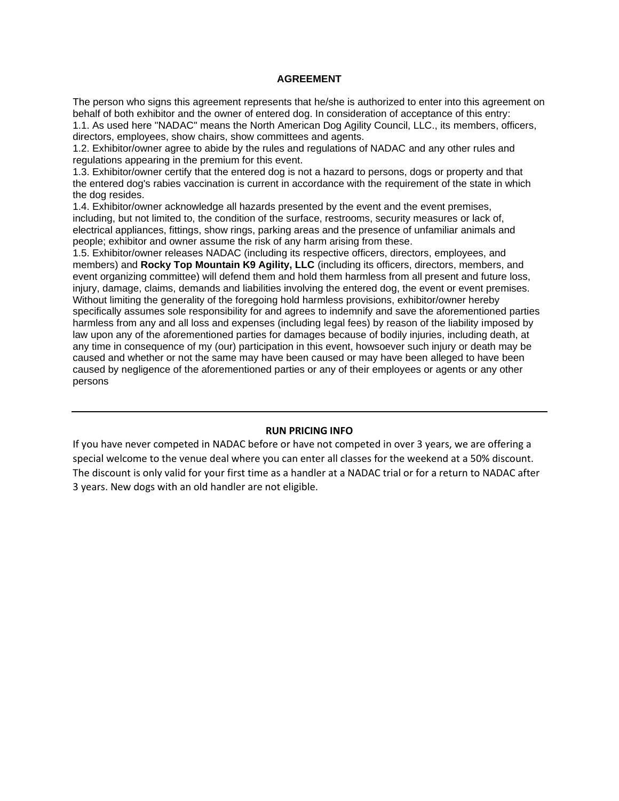#### **AGREEMENT**

The person who signs this agreement represents that he/she is authorized to enter into this agreement on behalf of both exhibitor and the owner of entered dog. In consideration of acceptance of this entry:

1.1. As used here "NADAC" means the North American Dog Agility Council, LLC., its members, officers, directors, employees, show chairs, show committees and agents.

1.2. Exhibitor/owner agree to abide by the rules and regulations of NADAC and any other rules and regulations appearing in the premium for this event.

1.3. Exhibitor/owner certify that the entered dog is not a hazard to persons, dogs or property and that the entered dog's rabies vaccination is current in accordance with the requirement of the state in which the dog resides.

1.4. Exhibitor/owner acknowledge all hazards presented by the event and the event premises, including, but not limited to, the condition of the surface, restrooms, security measures or lack of, electrical appliances, fittings, show rings, parking areas and the presence of unfamiliar animals and people; exhibitor and owner assume the risk of any harm arising from these.

1.5. Exhibitor/owner releases NADAC (including its respective officers, directors, employees, and members) and **Rocky Top Mountain K9 Agility, LLC** (including its officers, directors, members, and event organizing committee) will defend them and hold them harmless from all present and future loss, injury, damage, claims, demands and liabilities involving the entered dog, the event or event premises. Without limiting the generality of the foregoing hold harmless provisions, exhibitor/owner hereby specifically assumes sole responsibility for and agrees to indemnify and save the aforementioned parties harmless from any and all loss and expenses (including legal fees) by reason of the liability imposed by law upon any of the aforementioned parties for damages because of bodily injuries, including death, at any time in consequence of my (our) participation in this event, howsoever such injury or death may be caused and whether or not the same may have been caused or may have been alleged to have been caused by negligence of the aforementioned parties or any of their employees or agents or any other persons

#### **RUN PRICING INFO**

If you have never competed in NADAC before or have not competed in over 3 years, we are offering a special welcome to the venue deal where you can enter all classes for the weekend at a 50% discount. The discount is only valid for your first time as a handler at a NADAC trial or for a return to NADAC after 3 years. New dogs with an old handler are not eligible.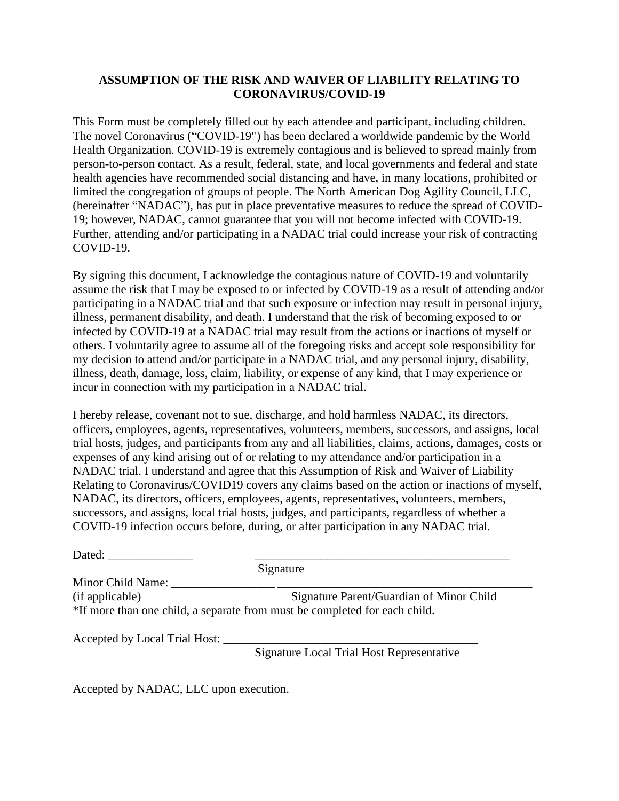# **ASSUMPTION OF THE RISK AND WAIVER OF LIABILITY RELATING TO CORONAVIRUS/COVID-19**

This Form must be completely filled out by each attendee and participant, including children. The novel Coronavirus ("COVID-19") has been declared a worldwide pandemic by the World Health Organization. COVID-19 is extremely contagious and is believed to spread mainly from person-to-person contact. As a result, federal, state, and local governments and federal and state health agencies have recommended social distancing and have, in many locations, prohibited or limited the congregation of groups of people. The North American Dog Agility Council, LLC, (hereinafter "NADAC"), has put in place preventative measures to reduce the spread of COVID-19; however, NADAC, cannot guarantee that you will not become infected with COVID-19. Further, attending and/or participating in a NADAC trial could increase your risk of contracting COVID-19.

By signing this document, I acknowledge the contagious nature of COVID-19 and voluntarily assume the risk that I may be exposed to or infected by COVID-19 as a result of attending and/or participating in a NADAC trial and that such exposure or infection may result in personal injury, illness, permanent disability, and death. I understand that the risk of becoming exposed to or infected by COVID-19 at a NADAC trial may result from the actions or inactions of myself or others. I voluntarily agree to assume all of the foregoing risks and accept sole responsibility for my decision to attend and/or participate in a NADAC trial, and any personal injury, disability, illness, death, damage, loss, claim, liability, or expense of any kind, that I may experience or incur in connection with my participation in a NADAC trial.

I hereby release, covenant not to sue, discharge, and hold harmless NADAC, its directors, officers, employees, agents, representatives, volunteers, members, successors, and assigns, local trial hosts, judges, and participants from any and all liabilities, claims, actions, damages, costs or expenses of any kind arising out of or relating to my attendance and/or participation in a NADAC trial. I understand and agree that this Assumption of Risk and Waiver of Liability Relating to Coronavirus/COVID19 covers any claims based on the action or inactions of myself, NADAC, its directors, officers, employees, agents, representatives, volunteers, members, successors, and assigns, local trial hosts, judges, and participants, regardless of whether a COVID-19 infection occurs before, during, or after participation in any NADAC trial.

|                   | Signature                                                                  |
|-------------------|----------------------------------------------------------------------------|
| Minor Child Name: |                                                                            |
| (if applicable)   | Signature Parent/Guardian of Minor Child                                   |
|                   | *If more than one child, a separate from must be completed for each child. |

Accepted by Local Trial Host: \_\_\_\_\_\_\_\_\_\_\_\_\_\_\_\_\_\_\_\_\_\_\_\_\_\_\_\_\_\_\_\_\_\_\_\_\_\_\_\_\_\_

Signature Local Trial Host Representative

Accepted by NADAC, LLC upon execution.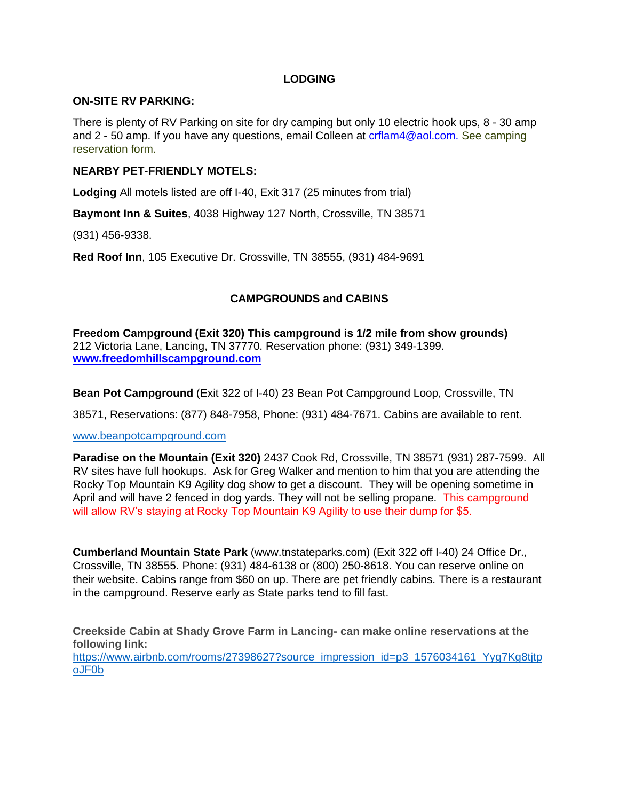## **LODGING**

### **ON-SITE RV PARKING:**

There is plenty of RV Parking on site for dry camping but only 10 electric hook ups, 8 - 30 amp and 2 - 50 amp. If you have any questions, email Colleen at crilam4@aol.com. See camping reservation form.

#### **NEARBY PET-FRIENDLY MOTELS:**

**Lodging** All motels listed are off I-40, Exit 317 (25 minutes from trial)

**Baymont Inn & Suites**, 4038 Highway 127 North, Crossville, TN 38571

(931) 456-9338.

**Red Roof Inn**, 105 Executive Dr. Crossville, TN 38555, (931) 484-9691

## **CAMPGROUNDS and CABINS**

**Freedom Campground (Exit 320) This campground is 1/2 mile from show grounds)** 212 Victoria Lane, Lancing, TN 37770. Reservation phone: (931) 349-1399. **[www.freedomhillscampground.com](http://www.freedomhillscampground.com/)**

**Bean Pot Campground** (Exit 322 of I-40) 23 Bean Pot Campground Loop, Crossville, TN

38571, Reservations: (877) 848-7958, Phone: (931) 484-7671. Cabins are available to rent.

[www.beanpotcampground.com](http://www.beanpotcampground.com/)

**Paradise on the Mountain (Exit 320)** 2437 Cook Rd, Crossville, TN 38571 (931) 287-7599. All RV sites have full hookups. Ask for Greg Walker and mention to him that you are attending the Rocky Top Mountain K9 Agility dog show to get a discount. They will be opening sometime in April and will have 2 fenced in dog yards. They will not be selling propane. This campground will allow RV's staying at Rocky Top Mountain K9 Agility to use their dump for \$5.

**Cumberland Mountain State Park** (www.tnstateparks.com) (Exit 322 off I-40) 24 Office Dr., Crossville, TN 38555. Phone: (931) 484-6138 or (800) 250-8618. You can reserve online on their website. Cabins range from \$60 on up. There are pet friendly cabins. There is a restaurant in the campground. Reserve early as State parks tend to fill fast.

**Creekside Cabin at Shady Grove Farm in Lancing- can make online reservations at the following link:**  https://www.airbnb.com/rooms/27398627?source\_impression\_id=p3\_1576034161\_Yyg7Kg8titp [oJF0b](https://www.airbnb.com/rooms/27398627?source_impression_id=p3_1576034161_Yyg7Kg8tjtpoJF0b)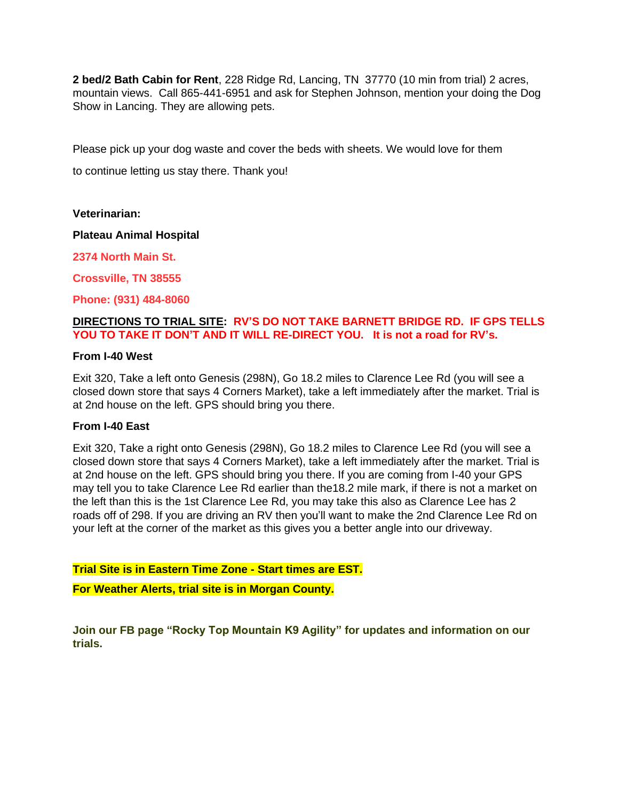**2 bed/2 Bath Cabin for Rent**, 228 Ridge Rd, Lancing, TN 37770 (10 min from trial) 2 acres, mountain views. Call 865-441-6951 and ask for Stephen Johnson, mention your doing the Dog Show in Lancing. They are allowing pets.

Please pick up your dog waste and cover the beds with sheets. We would love for them to continue letting us stay there. Thank you!

**Veterinarian:**

**Plateau Animal Hospital**

**2374 North Main St.**

**Crossville, TN 38555**

**Phone: (931) 484-8060**

## **DIRECTIONS TO TRIAL SITE: RV'S DO NOT TAKE BARNETT BRIDGE RD. IF GPS TELLS YOU TO TAKE IT DON'T AND IT WILL RE-DIRECT YOU. It is not a road for RV's.**

#### **From I-40 West**

Exit 320, Take a left onto Genesis (298N), Go 18.2 miles to Clarence Lee Rd (you will see a closed down store that says 4 Corners Market), take a left immediately after the market. Trial is at 2nd house on the left. GPS should bring you there.

### **From I-40 East**

Exit 320, Take a right onto Genesis (298N), Go 18.2 miles to Clarence Lee Rd (you will see a closed down store that says 4 Corners Market), take a left immediately after the market. Trial is at 2nd house on the left. GPS should bring you there. If you are coming from I-40 your GPS may tell you to take Clarence Lee Rd earlier than the18.2 mile mark, if there is not a market on the left than this is the 1st Clarence Lee Rd, you may take this also as Clarence Lee has 2 roads off of 298. If you are driving an RV then you'll want to make the 2nd Clarence Lee Rd on your left at the corner of the market as this gives you a better angle into our driveway.

**Trial Site is in Eastern Time Zone - Start times are EST.**

**For Weather Alerts, trial site is in Morgan County.**

**Join our FB page "Rocky Top Mountain K9 Agility" for updates and information on our trials.**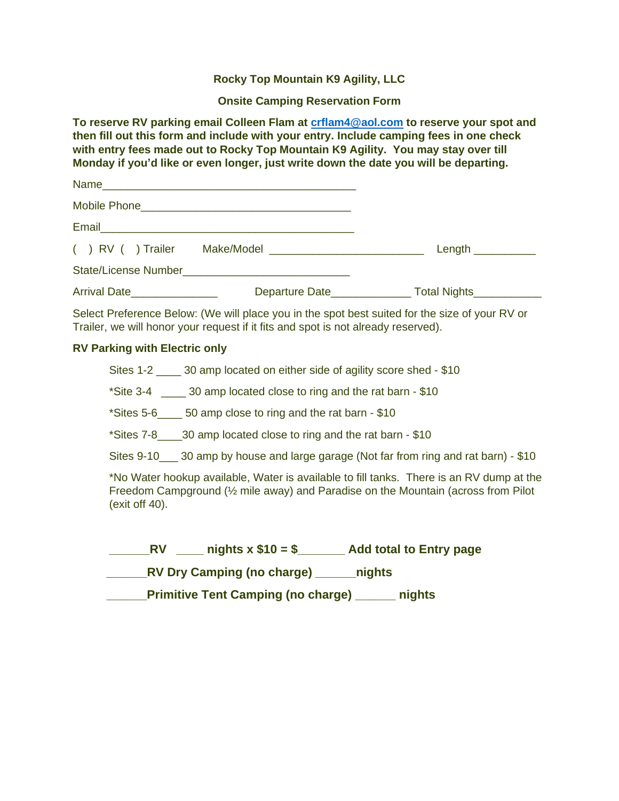## **Rocky Top Mountain K9 Agility, LLC**

**Onsite Camping Reservation Form**

**To reserve RV parking email Colleen Flam at [crflam4@aol.com](mailto:crflam4@aol.com) to reserve your spot and then fill out this form and include with your entry. Include camping fees in one check with entry fees made out to Rocky Top Mountain K9 Agility. You may stay over till Monday if you'd like or even longer, just write down the date you will be departing.**

|                        | Email 2008 - 2009 - 2010 - 2010 - 2010 - 2010 - 2011 - 2012 - 2014 - 2016 - 2017 - 2018 - 2019 - 2010 - 2011 - |                                                          |
|------------------------|----------------------------------------------------------------------------------------------------------------|----------------------------------------------------------|
| $( )$ RV $( )$ Trailer |                                                                                                                | Length $\_\_$                                            |
|                        |                                                                                                                |                                                          |
| Arrival Date           |                                                                                                                | Departure Date_________________ Total Nights____________ |

Select Preference Below: (We will place you in the spot best suited for the size of your RV or Trailer, we will honor your request if it fits and spot is not already reserved).

## **RV Parking with Electric only**

Sites 1-2 <sup>30</sup> amp located on either side of agility score shed - \$10

\*Site 3-4 \_\_\_\_ 30 amp located close to ring and the rat barn - \$10

\*Sites 5-6\_\_\_\_ 50 amp close to ring and the rat barn - \$10

\*Sites 7-8\_\_\_\_30 amp located close to ring and the rat barn - \$10

Sites 9-10 \_ 30 amp by house and large garage (Not far from ring and rat barn) - \$10

\*No Water hookup available, Water is available to fill tanks. There is an RV dump at the Freedom Campground (½ mile away) and Paradise on the Mountain (across from Pilot (exit off 40).

| nights $x$ \$10 = \$<br><b>RV</b>         | <b>Add total to Entry page</b> |
|-------------------------------------------|--------------------------------|
| <b>RV Dry Camping (no charge)</b>         | nights                         |
| <b>Primitive Tent Camping (no charge)</b> | nights                         |